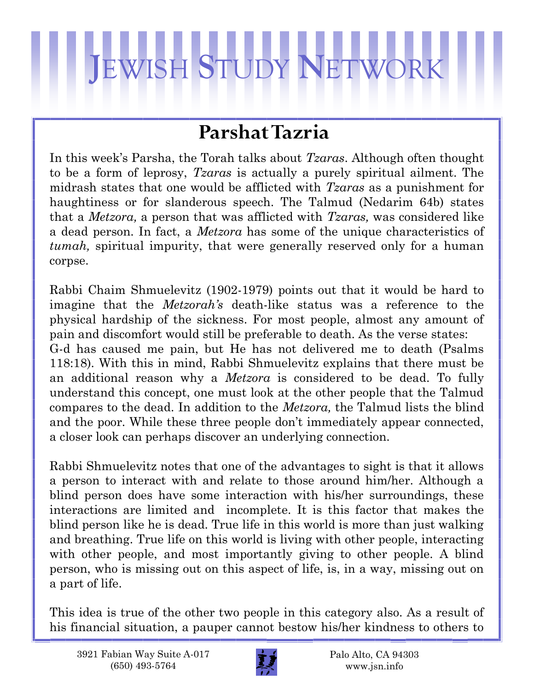## **J**EWISH **S**TUDY **N**ETWORK

## **Parshat Tazria**

In this week's Parsha, the Torah talks about *Tzaras*. Although often thought to be a form of leprosy, *Tzaras* is actually a purely spiritual ailment. The midrash states that one would be afflicted with *Tzaras* as a punishment for haughtiness or for slanderous speech. The Talmud (Nedarim 64b) states that a *Metzora,* a person that was afflicted with *Tzaras,* was considered like a dead person. In fact, a *Metzora* has some of the unique characteristics of *tumah,* spiritual impurity, that were generally reserved only for a human corpse.

Rabbi Chaim Shmuelevitz (1902-1979) points out that it would be hard to imagine that the *Metzorah's* death-like status was a reference to the physical hardship of the sickness. For most people, almost any amount of pain and discomfort would still be preferable to death. As the verse states: G-d has caused me pain, but He has not delivered me to death (Psalms 118:18). With this in mind, Rabbi Shmuelevitz explains that there must be an additional reason why a *Metzora* is considered to be dead. To fully understand this concept, one must look at the other people that the Talmud compares to the dead. In addition to the *Metzora,* the Talmud lists the blind and the poor. While these three people don't immediately appear connected, a closer look can perhaps discover an underlying connection.

Rabbi Shmuelevitz notes that one of the advantages to sight is that it allows a person to interact with and relate to those around him/her. Although a blind person does have some interaction with his/her surroundings, these interactions are limited and incomplete. It is this factor that makes the blind person like he is dead. True life in this world is more than just walking and breathing. True life on this world is living with other people, interacting with other people, and most importantly giving to other people. A blind person, who is missing out on this aspect of life, is, in a way, missing out on a part of life.

This idea is true of the other two people in this category also. As a result of his financial situation, a pauper cannot bestow his/her kindness to others to